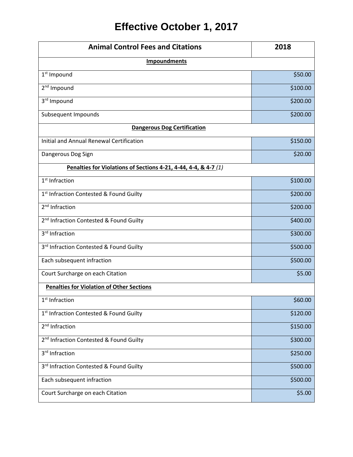## **Effective October 1, 2017**

| <b>Animal Control Fees and Citations</b>                        | 2018     |
|-----------------------------------------------------------------|----------|
| <b>Impoundments</b>                                             |          |
| 1 <sup>st</sup> Impound                                         | \$50.00  |
| 2 <sup>nd</sup> Impound                                         | \$100.00 |
| 3rd Impound                                                     | \$200.00 |
| Subsequent Impounds                                             | \$200.00 |
| <b>Dangerous Dog Certification</b>                              |          |
| Initial and Annual Renewal Certification                        | \$150.00 |
| Dangerous Dog Sign                                              | \$20.00  |
| Penalties for Violations of Sections 4-21, 4-44, 4-4, & 4-7 (1) |          |
| $1st$ Infraction                                                | \$100.00 |
| 1st Infraction Contested & Found Guilty                         | \$200.00 |
| 2 <sup>nd</sup> Infraction                                      | \$200.00 |
| 2 <sup>nd</sup> Infraction Contested & Found Guilty             | \$400.00 |
| 3rd Infraction                                                  | \$300.00 |
| 3rd Infraction Contested & Found Guilty                         | \$500.00 |
| Each subsequent infraction                                      | \$500.00 |
| Court Surcharge on each Citation                                | \$5.00   |
| <b>Penalties for Violation of Other Sections</b>                |          |
| 1 <sup>st</sup> Infraction                                      | \$60.00  |
| 1 <sup>st</sup> Infraction Contested & Found Guilty             | \$120.00 |
| 2 <sup>nd</sup> Infraction                                      | \$150.00 |
| 2 <sup>nd</sup> Infraction Contested & Found Guilty             | \$300.00 |
| 3rd Infraction                                                  | \$250.00 |
| 3rd Infraction Contested & Found Guilty                         | \$500.00 |
| Each subsequent infraction                                      | \$500.00 |
| Court Surcharge on each Citation                                | \$5.00   |